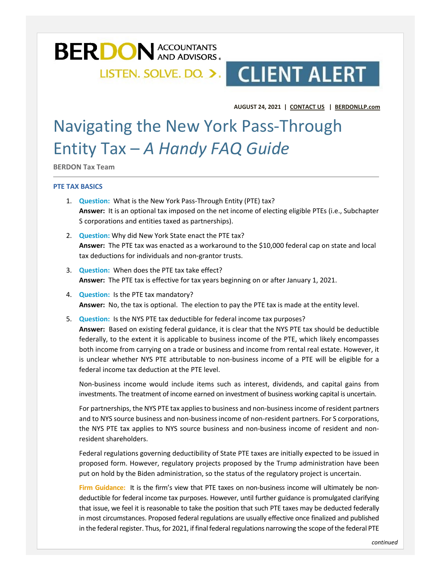

# LISTEN. SOLVE. DO. >. CLIENT ALERT

**AUGUST 24, 2021 | [CONTACT US](mailto:fvitale@berdonllp.com?subject=https://www.berdonllp.com/lets-connect/) | [BERDONLLP.com](http://www.berdonllp.com/?utm_campaign=Client%20Alert&utm_source=hs_email&utm_medium=email&utm_content=2&_hsenc=p2ANqtz--1febudoSFCLVTsUENVB4FThWTqpnoEWK5JVkYcEvk9A81VDe95pxM6D7pMM10SG9ntXN4uQ8A3PitgmcBhL55bE19YA)**

## Navigating the New York Pass-Through Entity Tax – *A Handy FAQ Guide*

**BERDON Tax Team**

#### **PTE TAX BASICS**

- 1. **Question:** What is the New York Pass-Through Entity (PTE) tax? **Answer:** It is an optional tax imposed on the net income of electing eligible PTEs (i.e., Subchapter S corporations and entities taxed as partnerships).
- 2. **Question:** Why did New York State enact the PTE tax? **Answer:** The PTE tax was enacted as a workaround to the \$10,000 federal cap on state and local tax deductions for individuals and non-grantor trusts.
- 3. **Question:** When does the PTE tax take effect? **Answer:** The PTE tax is effective for tax years beginning on or after January 1, 2021.
- 4. **Question:** Is the PTE tax mandatory? **Answer:** No, the tax is optional. The election to pay the PTE tax is made at the entity level.
- 5. **Question:** Is the NYS PTE tax deductible for federal income tax purposes? **Answer:** Based on existing federal guidance, it is clear that the NYS PTE tax should be deductible federally, to the extent it is applicable to business income of the PTE, which likely encompasses both income from carrying on a trade or business and income from rental real estate. However, it is unclear whether NYS PTE attributable to non-business income of a PTE will be eligible for a federal income tax deduction at the PTE level.

Non-business income would include items such as interest, dividends, and capital gains from investments. The treatment of income earned on investment of business working capital is uncertain.

For partnerships, the NYS PTE tax applies to business and non-business income of resident partners and to NYS source business and non-business income of non-resident partners. For S corporations, the NYS PTE tax applies to NYS source business and non-business income of resident and nonresident shareholders.

Federal regulations governing deductibility of State PTE taxes are initially expected to be issued in proposed form. However, regulatory projects proposed by the Trump administration have been put on hold by the Biden administration, so the status of the regulatory project is uncertain.

**Firm Guidance:** It is the firm's view that PTE taxes on non-business income will ultimately be nondeductible for federal income tax purposes. However, until further guidance is promulgated clarifying that issue, we feel it is reasonable to take the position that such PTE taxes may be deducted federally in most circumstances. Proposed federal regulations are usually effective once finalized and published in the federal register. Thus, for 2021, if final federal regulations narrowing the scope of the federal PTE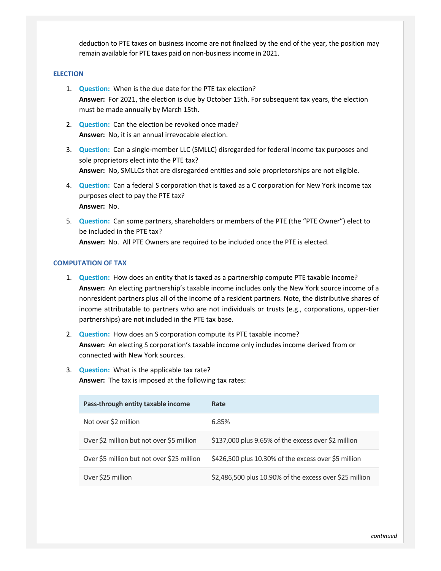deduction to PTE taxes on business income are not finalized by the end of the year, the position may remain available for PTE taxes paid on non-business income in 2021.

#### **ELECTION**

- 1. **Question:** When is the due date for the PTE tax election? **Answer:** For 2021, the election is due by October 15th. For subsequent tax years, the election must be made annually by March 15th.
- 2. **Question:** Can the election be revoked once made? **Answer:** No, it is an annual irrevocable election.
- 3. **Question:** Can a single-member LLC (SMLLC) disregarded for federal income tax purposes and sole proprietors elect into the PTE tax? **Answer:** No, SMLLCs that are disregarded entities and sole proprietorships are not eligible.
- 4. **Question:** Can a federal S corporation that is taxed as a C corporation for New York income tax purposes elect to pay the PTE tax? **Answer:** No.
- 5. **Question:** Can some partners, shareholders or members of the PTE (the "PTE Owner") elect to be included in the PTE tax? **Answer:** No. All PTE Owners are required to be included once the PTE is elected.

#### **COMPUTATION OF TAX**

- 1. **Question:** How does an entity that is taxed as a partnership compute PTE taxable income? **Answer:** An electing partnership's taxable income includes only the New York source income of a nonresident partners plus all of the income of a resident partners. Note, the distributive shares of income attributable to partners who are not individuals or trusts (e.g., corporations, upper-tier partnerships) are not included in the PTE tax base.
- 2. **Question:** How does an S corporation compute its PTE taxable income? **Answer:** An electing S corporation's taxable income only includes income derived from or connected with New York sources.
- 3. **Question:** What is the applicable tax rate? **Answer:** The tax is imposed at the following tax rates:

| Pass-through entity taxable income         | Rate                                                    |
|--------------------------------------------|---------------------------------------------------------|
| Not over \$2 million                       | 6.85%                                                   |
| Over \$2 million but not over \$5 million  | \$137,000 plus 9.65% of the excess over \$2 million     |
| Over \$5 million but not over \$25 million | \$426,500 plus 10.30% of the excess over \$5 million    |
| Over \$25 million                          | \$2,486,500 plus 10.90% of the excess over \$25 million |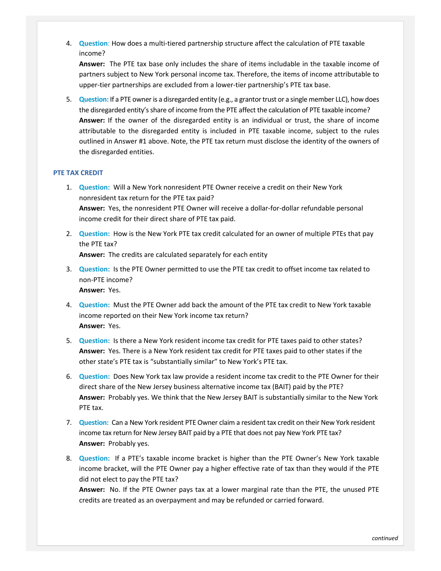4. **Question**: How does a multi-tiered partnership structure affect the calculation of PTE taxable income?

**Answer:** The PTE tax base only includes the share of items includable in the taxable income of partners subject to New York personal income tax. Therefore, the items of income attributable to upper-tier partnerships are excluded from a lower-tier partnership's PTE tax base.

5. **Question:** If a PTE owner is a disregarded entity (e.g., a grantor trust or a single member LLC), how does the disregarded entity's share of income from the PTE affect the calculation of PTE taxable income? **Answer:** If the owner of the disregarded entity is an individual or trust, the share of income attributable to the disregarded entity is included in PTE taxable income, subject to the rules outlined in Answer #1 above. Note, the PTE tax return must disclose the identity of the owners of the disregarded entities.

### **PTE TAX CREDIT**

- 1. **Question:** Will a New York nonresident PTE Owner receive a credit on their New York nonresident tax return for the PTE tax paid? **Answer:** Yes, the nonresident PTE Owner will receive a dollar-for-dollar refundable personal income credit for their direct share of PTE tax paid.
- 2. **Question:** How is the New York PTE tax credit calculated for an owner of multiple PTEs that pay the PTE tax?

**Answer:** The credits are calculated separately for each entity

- 3. **Question:** Is the PTE Owner permitted to use the PTE tax credit to offset income tax related to non-PTE income? **Answer:** Yes.
- 4. **Question:** Must the PTE Owner add back the amount of the PTE tax credit to New York taxable income reported on their New York income tax return? **Answer:** Yes.
- 5. **Question:** Is there a New York resident income tax credit for PTE taxes paid to other states? **Answer:** Yes. There is a New York resident tax credit for PTE taxes paid to other states if the other state's PTE tax is "substantially similar" to New York's PTE tax.
- 6. **Question:** Does New York tax law provide a resident income tax credit to the PTE Owner for their direct share of the New Jersey business alternative income tax (BAIT) paid by the PTE? **Answer:** Probably yes. We think that the New Jersey BAIT is substantially similar to the New York PTE tax.
- 7. **Question:** Can a New York resident PTE Owner claim a resident tax credit on their New York resident income tax return for New Jersey BAIT paid by a PTE that does not pay New York PTE tax? **Answer:** Probably yes.
- 8. **Question:** If a PTE's taxable income bracket is higher than the PTE Owner's New York taxable income bracket, will the PTE Owner pay a higher effective rate of tax than they would if the PTE did not elect to pay the PTE tax?

**Answer:** No. If the PTE Owner pays tax at a lower marginal rate than the PTE, the unused PTE credits are treated as an overpayment and may be refunded or carried forward.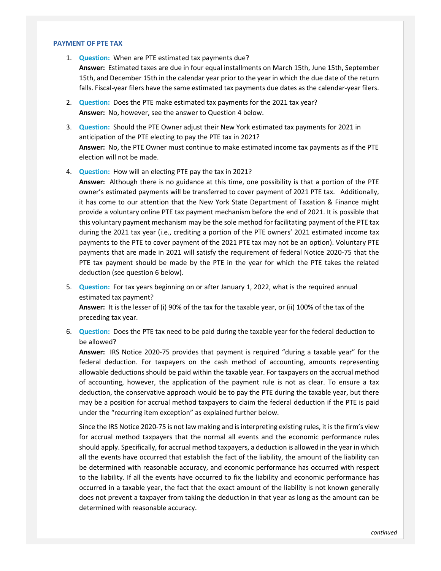#### **PAYMENT OF PTE TAX**

- 1. **Question:** When are PTE estimated tax payments due? **Answer:** Estimated taxes are due in four equal installments on March 15th, June 15th, September 15th, and December 15th in the calendar year prior to the year in which the due date of the return falls. Fiscal-year filers have the same estimated tax payments due dates as the calendar-year filers.
- 2. **Question:** Does the PTE make estimated tax payments for the 2021 tax year? **Answer:** No, however, see the answer to Question 4 below.
- 3. **Question:** Should the PTE Owner adjust their New York estimated tax payments for 2021 in anticipation of the PTE electing to pay the PTE tax in 2021? **Answer:** No, the PTE Owner must continue to make estimated income tax payments as if the PTE election will not be made.
- 4. **Question:** How will an electing PTE pay the tax in 2021?

**Answer:** Although there is no guidance at this time, one possibility is that a portion of the PTE owner's estimated payments will be transferred to cover payment of 2021 PTE tax. Additionally, it has come to our attention that the New York State Department of Taxation & Finance might provide a voluntary online PTE tax payment mechanism before the end of 2021. It is possible that this voluntary payment mechanism may be the sole method for facilitating payment of the PTE tax during the 2021 tax year (i.e., crediting a portion of the PTE owners' 2021 estimated income tax payments to the PTE to cover payment of the 2021 PTE tax may not be an option). Voluntary PTE payments that are made in 2021 will satisfy the requirement of federal Notice 2020-75 that the PTE tax payment should be made by the PTE in the year for which the PTE takes the related deduction (see question 6 below).

- 5. **Question:** For tax years beginning on or after January 1, 2022, what is the required annual estimated tax payment? **Answer:** It is the lesser of (i) 90% of the tax for the taxable year, or (ii) 100% of the tax of the preceding tax year.
- 6. **Question:** Does the PTE tax need to be paid during the taxable year for the federal deduction to be allowed?

**Answer:** IRS Notice 2020-75 provides that payment is required "during a taxable year" for the federal deduction. For taxpayers on the cash method of accounting, amounts representing allowable deductions should be paid within the taxable year. For taxpayers on the accrual method of accounting, however, the application of the payment rule is not as clear. To ensure a tax deduction, the conservative approach would be to pay the PTE during the taxable year, but there may be a position for accrual method taxpayers to claim the federal deduction if the PTE is paid under the "recurring item exception" as explained further below.

Since the IRS Notice 2020-75 is not law making and is interpreting existing rules, it is the firm's view for accrual method taxpayers that the normal all events and the economic performance rules should apply. Specifically, for accrual method taxpayers, a deduction is allowed in the year in which all the events have occurred that establish the fact of the liability, the amount of the liability can be determined with reasonable accuracy, and economic performance has occurred with respect to the liability. If all the events have occurred to fix the liability and economic performance has occurred in a taxable year, the fact that the exact amount of the liability is not known generally does not prevent a taxpayer from taking the deduction in that year as long as the amount can be determined with reasonable accuracy.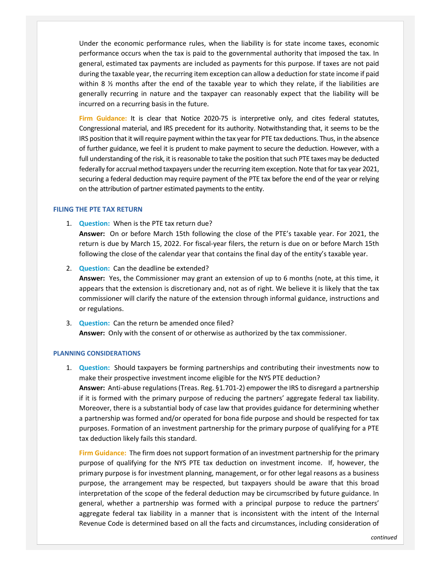Under the economic performance rules, when the liability is for state income taxes, economic performance occurs when the tax is paid to the governmental authority that imposed the tax. In general, estimated tax payments are included as payments for this purpose. If taxes are not paid during the taxable year, the recurring item exception can allow a deduction for state income if paid within 8 ½ months after the end of the taxable year to which they relate, if the liabilities are generally recurring in nature and the taxpayer can reasonably expect that the liability will be incurred on a recurring basis in the future.

**Firm Guidance:** It is clear that Notice 2020-75 is interpretive only, and cites federal statutes, Congressional material, and IRS precedent for its authority. Notwithstanding that, it seems to be the IRS position that it will require payment within the tax year for PTE tax deductions. Thus, in the absence of further guidance, we feel it is prudent to make payment to secure the deduction. However, with a full understanding of the risk, it is reasonable to take the position that such PTE taxes may be deducted federally for accrual method taxpayers under the recurring item exception. Note that for tax year 2021, securing a federal deduction may require payment of the PTE tax before the end of the year or relying on the attribution of partner estimated payments to the entity.

#### **FILING THE PTE TAX RETURN**

1. **Question:** When is the PTE tax return due?

**Answer:** On or before March 15th following the close of the PTE's taxable year. For 2021, the return is due by March 15, 2022. For fiscal-year filers, the return is due on or before March 15th following the close of the calendar year that contains the final day of the entity's taxable year.

- 2. **Question:** Can the deadline be extended? **Answer:** Yes, the Commissioner may grant an extension of up to 6 months (note, at this time, it appears that the extension is discretionary and, not as of right. We believe it is likely that the tax commissioner will clarify the nature of the extension through informal guidance, instructions and or regulations.
- 3. **Question:** Can the return be amended once filed? **Answer:** Only with the consent of or otherwise as authorized by the tax commissioner.

#### **PLANNING CONSIDERATIONS**

1. **Question:** Should taxpayers be forming partnerships and contributing their investments now to make their prospective investment income eligible for the NYS PTE deduction? **Answer:** Anti-abuse regulations (Treas. Reg. §1.701-2) empower the IRS to disregard a partnership if it is formed with the primary purpose of reducing the partners' aggregate federal tax liability. Moreover, there is a substantial body of case law that provides guidance for determining whether a partnership was formed and/or operated for bona fide purpose and should be respected for tax purposes. Formation of an investment partnership for the primary purpose of qualifying for a PTE tax deduction likely fails this standard.

**Firm Guidance:** The firm does not support formation of an investment partnership for the primary purpose of qualifying for the NYS PTE tax deduction on investment income. If, however, the primary purpose is for investment planning, management, or for other legal reasons as a business purpose, the arrangement may be respected, but taxpayers should be aware that this broad interpretation of the scope of the federal deduction may be circumscribed by future guidance. In general, whether a partnership was formed with a principal purpose to reduce the partners' aggregate federal tax liability in a manner that is inconsistent with the intent of the Internal Revenue Code is determined based on all the facts and circumstances, including consideration of